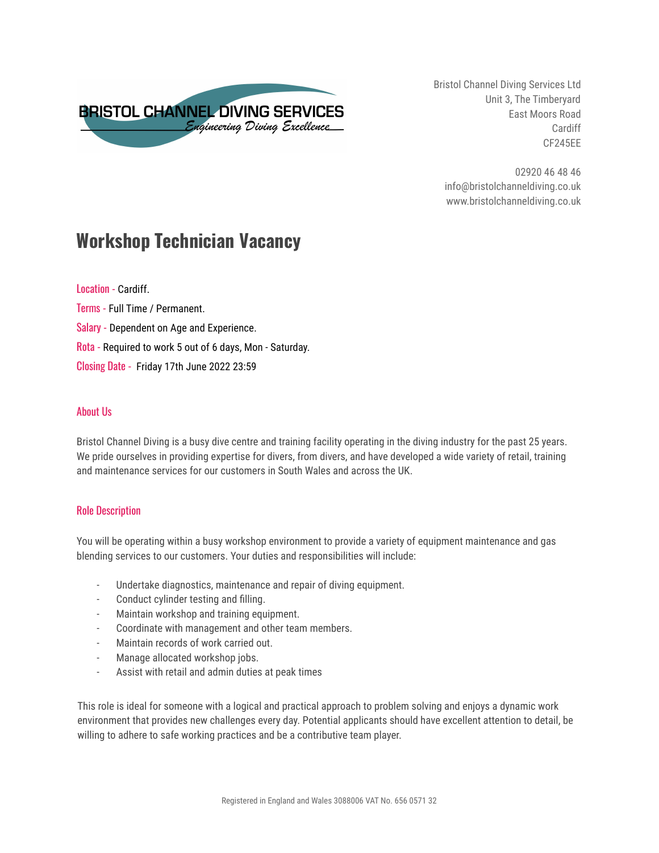

Bristol Channel Diving Services Ltd Unit 3, The Timberyard East Moors Road Cardiff CF245EE

02920 46 48 46 info@bristolchanneldiving.co.uk www.bristolchanneldiving.co.uk

# **Workshop Technician Vacancy**

Location - Cardiff. Terms - Full Time / Permanent. Salary - Dependent on Age and Experience. Rota - Required to work 5 out of 6 days, Mon - Saturday. Closing Date - Friday 17th June 2022 23:59

## About Us

Bristol Channel Diving is a busy dive centre and training facility operating in the diving industry for the past 25 years. We pride ourselves in providing expertise for divers, from divers, and have developed a wide variety of retail, training and maintenance services for our customers in South Wales and across the UK.

## Role Description

You will be operating within a busy workshop environment to provide a variety of equipment maintenance and gas blending services to our customers. Your duties and responsibilities will include:

- Undertake diagnostics, maintenance and repair of diving equipment.
- Conduct cylinder testing and filling.
- Maintain workshop and training equipment.
- Coordinate with management and other team members.
- Maintain records of work carried out.
- Manage allocated workshop jobs.
- Assist with retail and admin duties at peak times

This role is ideal for someone with a logical and practical approach to problem solving and enjoys a dynamic work environment that provides new challenges every day. Potential applicants should have excellent attention to detail, be willing to adhere to safe working practices and be a contributive team player.